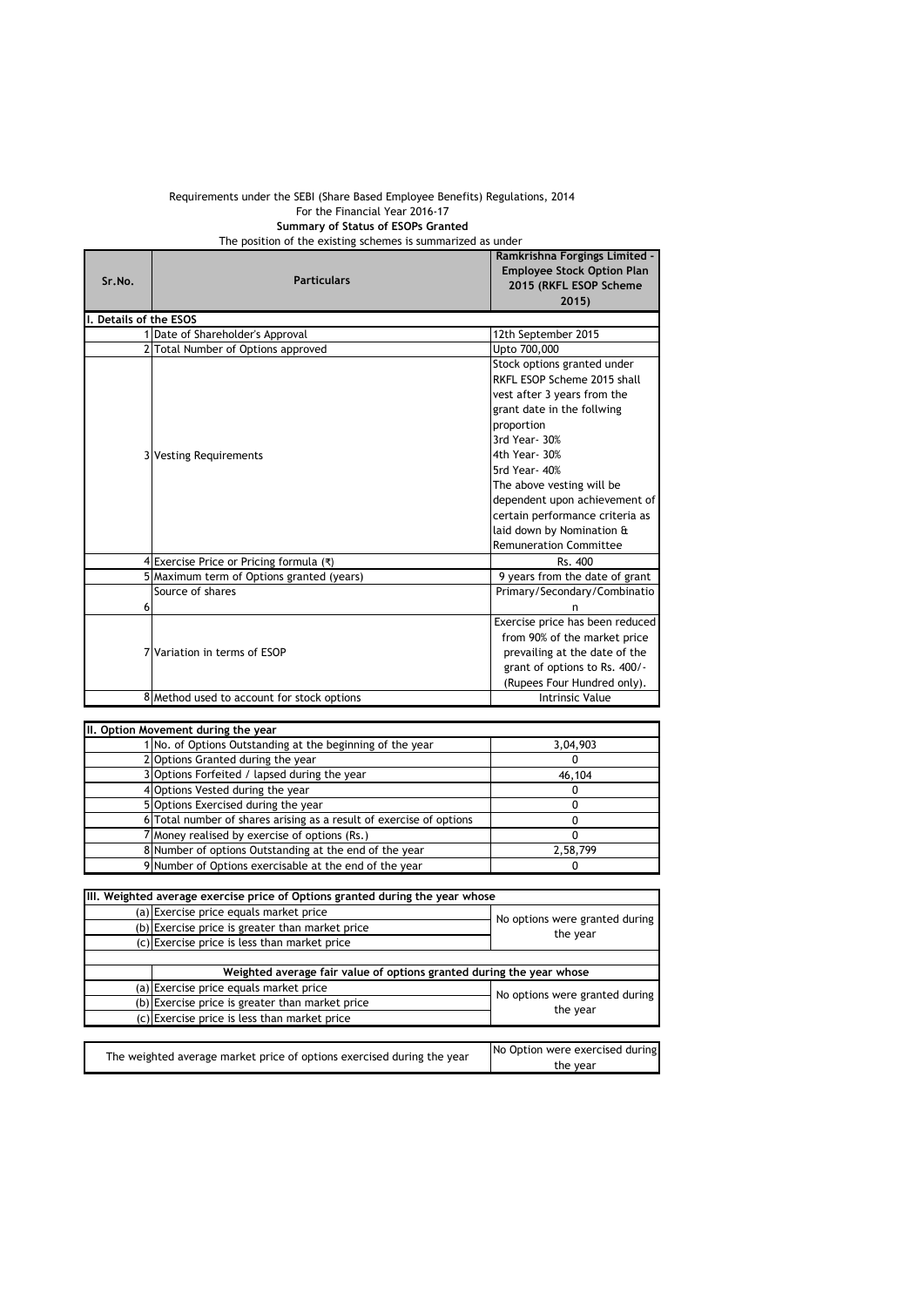## Requirements under the SEBI (Share Based Employee Benefits) Regulations, 2014 For the Financial Year 2016-17 **Summary of Status of ESOPs Granted** The position of the existing schemes is summarized as under

| Sr.No.                 | <b>Particulars</b>                         | Ramkrishna Forgings Limited -<br><b>Employee Stock Option Plan</b><br>2015 (RKFL ESOP Scheme<br>2015                                                                                                                                                                                                                                                   |
|------------------------|--------------------------------------------|--------------------------------------------------------------------------------------------------------------------------------------------------------------------------------------------------------------------------------------------------------------------------------------------------------------------------------------------------------|
| I. Details of the ESOS |                                            |                                                                                                                                                                                                                                                                                                                                                        |
|                        | 1 Date of Shareholder's Approval           | 12th September 2015                                                                                                                                                                                                                                                                                                                                    |
|                        | 2 Total Number of Options approved         | Upto 700,000                                                                                                                                                                                                                                                                                                                                           |
|                        | 3 Vesting Requirements                     | Stock options granted under<br>RKFL ESOP Scheme 2015 shall<br>vest after 3 years from the<br>grant date in the follwing<br>proportion<br>3rd Year- 30%<br>4th Year- 30%<br>5rd Year-40%<br>The above vesting will be<br>dependent upon achievement of<br>certain performance criteria as<br>laid down by Nomination &<br><b>Remuneration Committee</b> |
|                        | Exercise Price or Pricing formula (₹)      | Rs. 400                                                                                                                                                                                                                                                                                                                                                |
|                        | Maximum term of Options granted (years)    | 9 years from the date of grant                                                                                                                                                                                                                                                                                                                         |
|                        | Source of shares                           | Primary/Secondary/Combinatio                                                                                                                                                                                                                                                                                                                           |
| 6                      |                                            | n                                                                                                                                                                                                                                                                                                                                                      |
|                        | 7 Variation in terms of ESOP               | Exercise price has been reduced<br>from 90% of the market price<br>prevailing at the date of the<br>grant of options to Rs. 400/-<br>(Rupees Four Hundred only).                                                                                                                                                                                       |
|                        | 8 Method used to account for stock options | <b>Intrinsic Value</b>                                                                                                                                                                                                                                                                                                                                 |

| II. Option Movement during the year                                 |          |  |
|---------------------------------------------------------------------|----------|--|
| No. of Options Outstanding at the beginning of the year             | 3,04,903 |  |
| 2 Options Granted during the year                                   |          |  |
| 3 Options Forfeited / lapsed during the year                        | 46,104   |  |
| 4 Options Vested during the year                                    |          |  |
| 5 Options Exercised during the year                                 |          |  |
| 6 Total number of shares arising as a result of exercise of options |          |  |
| 7 Money realised by exercise of options (Rs.)                       |          |  |
| 8 Number of options Outstanding at the end of the year              | 2,58,799 |  |
| 9 Number of Options exercisable at the end of the year              |          |  |

| (a) Exercise price equals market price |                                                                                                                                                                                                                                                                                                                                                                                                |
|----------------------------------------|------------------------------------------------------------------------------------------------------------------------------------------------------------------------------------------------------------------------------------------------------------------------------------------------------------------------------------------------------------------------------------------------|
|                                        | No options were granted during                                                                                                                                                                                                                                                                                                                                                                 |
|                                        | the year                                                                                                                                                                                                                                                                                                                                                                                       |
|                                        |                                                                                                                                                                                                                                                                                                                                                                                                |
|                                        |                                                                                                                                                                                                                                                                                                                                                                                                |
|                                        |                                                                                                                                                                                                                                                                                                                                                                                                |
|                                        | No options were granted during                                                                                                                                                                                                                                                                                                                                                                 |
|                                        | the year                                                                                                                                                                                                                                                                                                                                                                                       |
|                                        |                                                                                                                                                                                                                                                                                                                                                                                                |
|                                        |                                                                                                                                                                                                                                                                                                                                                                                                |
|                                        | No Option were exercised during<br>the year                                                                                                                                                                                                                                                                                                                                                    |
|                                        | (b) Exercise price is greater than market price<br>(c) Exercise price is less than market price<br>Weighted average fair value of options granted during the year whose<br>(a) Exercise price equals market price<br>(b) Exercise price is greater than market price<br>(c) Exercise price is less than market price<br>The weighted average market price of options exercised during the year |

| The weighted average market price of options exercised during the year | No Option were exercised during |
|------------------------------------------------------------------------|---------------------------------|
|                                                                        | the year                        |